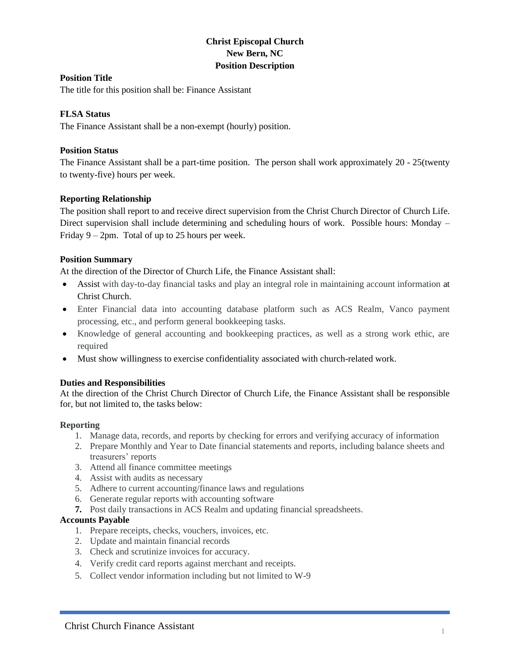# **Christ Episcopal Church New Bern, NC Position Description**

# **Position Title**

The title for this position shall be: Finance Assistant

# **FLSA Status**

The Finance Assistant shall be a non-exempt (hourly) position.

# **Position Status**

The Finance Assistant shall be a part-time position. The person shall work approximately 20 - 25(twenty to twenty-five) hours per week.

# **Reporting Relationship**

The position shall report to and receive direct supervision from the Christ Church Director of Church Life. Direct supervision shall include determining and scheduling hours of work. Possible hours: Monday – Friday  $9 - 2$ pm. Total of up to 25 hours per week.

# **Position Summary**

At the direction of the Director of Church Life, the Finance Assistant shall:

- Assist with day-to-day financial tasks and play an integral role in maintaining account information at Christ Church.
- Enter Financial data into accounting database platform such as ACS Realm, Vanco payment processing, etc., and perform general bookkeeping tasks.
- Knowledge of general accounting and bookkeeping practices, as well as a strong work ethic, are required
- Must show willingness to exercise confidentiality associated with church-related work.

#### **Duties and Responsibilities**

At the direction of the Christ Church Director of Church Life, the Finance Assistant shall be responsible for, but not limited to, the tasks below:

#### **Reporting**

- 1. Manage data, records, and reports by checking for errors and verifying accuracy of information
- 2. Prepare Monthly and Year to Date financial statements and reports, including balance sheets and treasurers' reports
- 3. Attend all finance committee meetings
- 4. Assist with audits as necessary
- 5. Adhere to current accounting/finance laws and regulations
- 6. Generate regular reports with accounting software
- **7.** Post daily transactions in ACS Realm and updating financial spreadsheets.

#### **Accounts Payable**

- 1. Prepare receipts, checks, vouchers, invoices, etc.
- 2. Update and maintain financial records
- 3. Check and scrutinize invoices for accuracy.
- 4. Verify credit card reports against merchant and receipts.
- 5. Collect vendor information including but not limited to W-9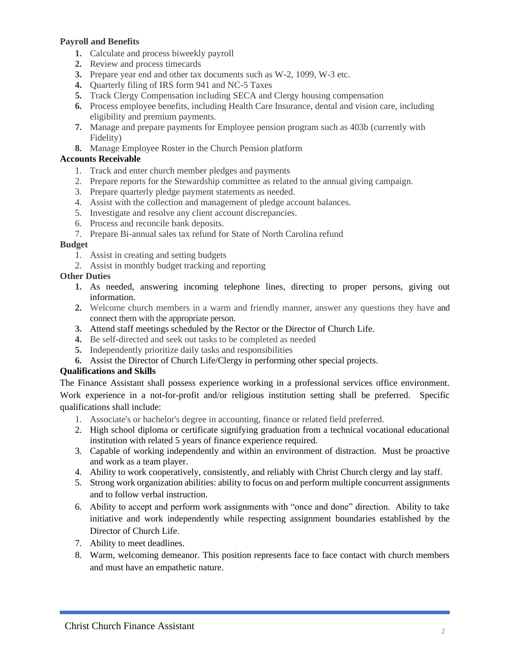# **Payroll and Benefits**

- **1.** Calculate and process biweekly payroll
- **2.** Review and process timecards
- **3.** Prepare year end and other tax documents such as W-2, 1099, W-3 etc.
- **4.** Quarterly filing of IRS form 941 and NC-5 Taxes
- **5.** Track Clergy Compensation including SECA and Clergy housing compensation
- **6.** Process employee benefits, including Health Care Insurance, dental and vision care, including eligibility and premium payments.
- **7.** Manage and prepare payments for Employee pension program such as 403b (currently with Fidelity)
- **8.** Manage Employee Roster in the Church Pension platform

# **Accounts Receivable**

- 1. Track and enter church member pledges and payments
- 2. Prepare reports for the Stewardship committee as related to the annual giving campaign.
- 3. Prepare quarterly pledge payment statements as needed.
- 4. Assist with the collection and management of pledge account balances.
- 5. Investigate and resolve any client account discrepancies.
- 6. Process and reconcile bank deposits.
- 7. Prepare Bi-annual sales tax refund for State of North Carolina refund

# **Budget**

- 1. Assist in creating and setting budgets
- 2. Assist in monthly budget tracking and reporting

# **Other Duties**

- **1.** As needed, answering incoming telephone lines, directing to proper persons, giving out information.
- **2.** Welcome church members in a warm and friendly manner, answer any questions they have and connect them with the appropriate person.
- **3.** Attend staff meetings scheduled by the Rector or the Director of Church Life.
- **4.** Be self-directed and seek out tasks to be completed as needed
- **5.** Independently prioritize daily tasks and responsibilities
- **6.** Assist the Director of Church Life/Clergy in performing other special projects.

# **Qualifications and Skills**

The Finance Assistant shall possess experience working in a professional services office environment. Work experience in a not-for-profit and/or religious institution setting shall be preferred. Specific qualifications shall include:

- 1. Associate's or bachelor's degree in accounting, finance or related field preferred.
- 2. High school diploma or certificate signifying graduation from a technical vocational educational institution with related 5 years of finance experience required.
- 3. Capable of working independently and within an environment of distraction. Must be proactive and work as a team player.
- 4. Ability to work cooperatively, consistently, and reliably with Christ Church clergy and lay staff.
- 5. Strong work organization abilities: ability to focus on and perform multiple concurrent assignments and to follow verbal instruction.
- 6. Ability to accept and perform work assignments with "once and done" direction. Ability to take initiative and work independently while respecting assignment boundaries established by the Director of Church Life.
- 7. Ability to meet deadlines.
- 8. Warm, welcoming demeanor. This position represents face to face contact with church members and must have an empathetic nature.